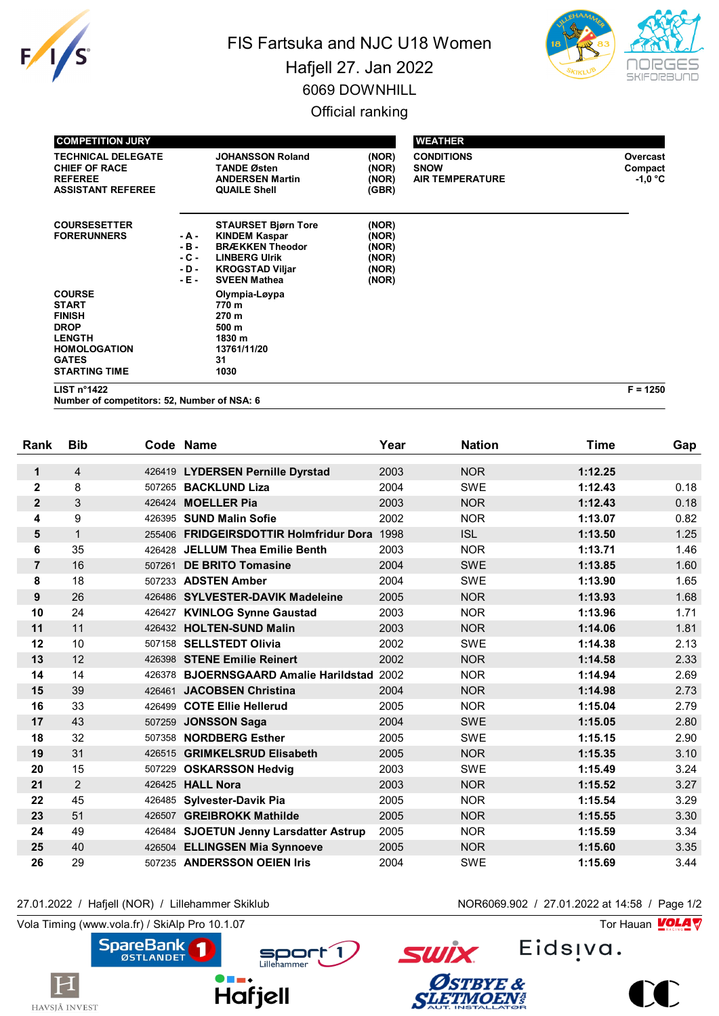

## FIS Fartsuka and NJC U18 Women Hafjell 27. Jan 2022 6069 DOWNHILL Official ranking



| <b>COMPETITION JURY</b>                                                                                                                       |                                             |                                                                                                                                                       |                                                    | <b>WEATHER</b>                                             |                                  |
|-----------------------------------------------------------------------------------------------------------------------------------------------|---------------------------------------------|-------------------------------------------------------------------------------------------------------------------------------------------------------|----------------------------------------------------|------------------------------------------------------------|----------------------------------|
| <b>TECHNICAL DELEGATE</b><br><b>CHIEF OF RACE</b><br><b>REFEREE</b><br><b>ASSISTANT REFEREE</b>                                               |                                             | <b>JOHANSSON Roland</b><br><b>TANDE Østen</b><br><b>ANDERSEN Martin</b><br><b>QUAILE Shell</b>                                                        | (NOR)<br>(NOR)<br>(NOR)<br>(GBR)                   | <b>CONDITIONS</b><br><b>SNOW</b><br><b>AIR TEMPERATURE</b> | Overcast<br>Compact<br>$-1.0 °C$ |
| <b>COURSESETTER</b><br><b>FORERUNNERS</b>                                                                                                     | - A -<br>$-B -$<br>- C -<br>$-D -$<br>- E - | <b>STAURSET Bjørn Tore</b><br><b>KINDEM Kaspar</b><br><b>BRÆKKEN Theodor</b><br><b>LINBERG Ulrik</b><br><b>KROGSTAD Viljar</b><br><b>SVEEN Mathea</b> | (NOR)<br>(NOR)<br>(NOR)<br>(NOR)<br>(NOR)<br>(NOR) |                                                            |                                  |
| <b>COURSE</b><br><b>START</b><br><b>FINISH</b><br><b>DROP</b><br><b>LENGTH</b><br><b>HOMOLOGATION</b><br><b>GATES</b><br><b>STARTING TIME</b> |                                             | Olympia-Løypa<br>770 m<br>270 m<br>500 m<br>1830 m<br>13761/11/20<br>31<br>1030                                                                       |                                                    |                                                            |                                  |

**LIST n°1422 F = 1250**

**Number of competitors: 52, Number of NSA: 6**

| Rank           | <b>Bib</b>       |        | Code Name                                  | Year | <b>Nation</b> | <b>Time</b> | Gap  |
|----------------|------------------|--------|--------------------------------------------|------|---------------|-------------|------|
|                |                  |        |                                            |      |               |             |      |
| $\mathbf 1$    | $\overline{4}$   |        | 426419 LYDERSEN Pernille Dyrstad           | 2003 | <b>NOR</b>    | 1:12.25     |      |
| $\mathbf{2}$   | 8                |        | 507265 BACKLUND Liza                       | 2004 | <b>SWE</b>    | 1:12.43     | 0.18 |
| $\overline{2}$ | 3                |        | 426424 MOELLER Pia                         | 2003 | <b>NOR</b>    | 1:12.43     | 0.18 |
| 4              | $\boldsymbol{9}$ |        | 426395 SUND Malin Sofie                    | 2002 | <b>NOR</b>    | 1:13.07     | 0.82 |
| 5              | $\mathbf{1}$     |        | 255406 FRIDGEIRSDOTTIR Holmfridur Dora     | 1998 | <b>ISL</b>    | 1:13.50     | 1.25 |
| 6              | 35               |        | 426428 JELLUM Thea Emilie Benth            | 2003 | <b>NOR</b>    | 1:13.71     | 1.46 |
| $\overline{7}$ | 16               | 507261 | <b>DE BRITO Tomasine</b>                   | 2004 | <b>SWE</b>    | 1:13.85     | 1.60 |
| 8              | 18               |        | 507233 ADSTEN Amber                        | 2004 | <b>SWE</b>    | 1:13.90     | 1.65 |
| 9              | 26               |        | 426486 SYLVESTER-DAVIK Madeleine           | 2005 | <b>NOR</b>    | 1:13.93     | 1.68 |
| 10             | 24               |        | 426427 KVINLOG Synne Gaustad               | 2003 | <b>NOR</b>    | 1:13.96     | 1.71 |
| 11             | 11               |        | 426432 HOLTEN-SUND Malin                   | 2003 | <b>NOR</b>    | 1:14.06     | 1.81 |
| 12             | 10               |        | 507158 SELLSTEDT Olivia                    | 2002 | <b>SWE</b>    | 1:14.38     | 2.13 |
| 13             | 12               |        | 426398 STENE Emilie Reinert                | 2002 | <b>NOR</b>    | 1:14.58     | 2.33 |
| 14             | 14               |        | 426378 BJOERNSGAARD Amalie Harildstad 2002 |      | <b>NOR</b>    | 1:14.94     | 2.69 |
| 15             | 39               |        | 426461 JACOBSEN Christina                  | 2004 | <b>NOR</b>    | 1:14.98     | 2.73 |
| 16             | 33               |        | 426499 COTE Ellie Hellerud                 | 2005 | <b>NOR</b>    | 1:15.04     | 2.79 |
| 17             | 43               |        | 507259 JONSSON Saga                        | 2004 | <b>SWE</b>    | 1:15.05     | 2.80 |
| 18             | 32               |        | 507358 NORDBERG Esther                     | 2005 | <b>SWE</b>    | 1:15.15     | 2.90 |
| 19             | 31               |        | 426515 GRIMKELSRUD Elisabeth               | 2005 | <b>NOR</b>    | 1:15.35     | 3.10 |
| 20             | 15               | 507229 | <b>OSKARSSON Hedvig</b>                    | 2003 | <b>SWE</b>    | 1:15.49     | 3.24 |
| 21             | $\overline{2}$   |        | 426425 HALL Nora                           | 2003 | <b>NOR</b>    | 1:15.52     | 3.27 |
| 22             | 45               |        | 426485 Sylvester-Davik Pia                 | 2005 | <b>NOR</b>    | 1:15.54     | 3.29 |
| 23             | 51               | 426507 | <b>GREIBROKK Mathilde</b>                  | 2005 | <b>NOR</b>    | 1:15.55     | 3.30 |
| 24             | 49               |        | 426484 SJOETUN Jenny Larsdatter Astrup     | 2005 | <b>NOR</b>    | 1:15.59     | 3.34 |
| 25             | 40               |        | 426504 ELLINGSEN Mia Synnoeve              | 2005 | <b>NOR</b>    | 1:15.60     | 3.35 |
| 26             | 29               |        | 507235 ANDERSSON OEIEN Iris                | 2004 | <b>SWE</b>    | 1:15.69     | 3.44 |

## 27.01.2022 / Hafjell (NOR) / Lillehammer Skiklub NOR6069.902 / 27.01.2022 at 14:58 / Page 1/2

Vola Timing (www.vola.fr) / SkiAlp Pro 10.1.07

 $|\mathbf{H}|$ 

HAVSJÅ INVEST



Eids<sub>!va</sub>.



**SWİX**